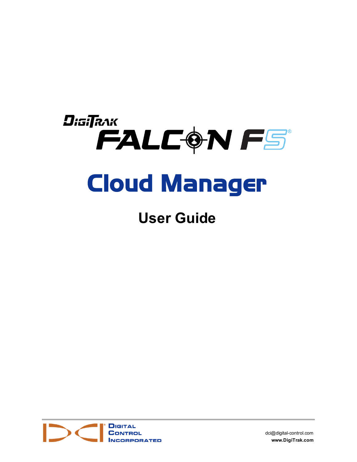# DigiTRAK FALCON FS Cloud Manager

## **User Guide**



[dci@digital-control.com](mailto:dci@digital-control.com) **[www.DigiTrak.com](http://www.digitrak.com/)**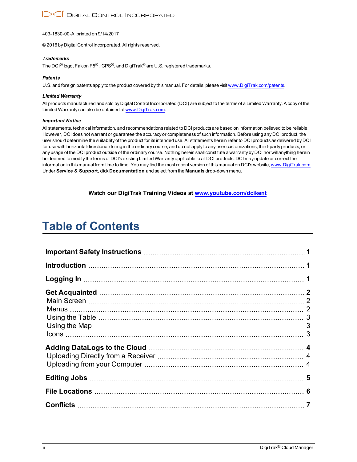403-1830-00-A, printed on 9/14/2017

© 2016 by Digital Control Incorporated. Allrights reserved.

#### *Trademarks*

The DCI<sup>®</sup> logo, Falcon F5<sup>®</sup>, iGPS<sup>®</sup>, and DigiTrak<sup>®</sup> are U.S. registered trademarks.

#### *Patents*

U.S. and foreign patents apply to the product covered by this manual. For details, please visit [www.DigiTrak.com/patents.](http://www.digitrak.com/patents)

#### *Limited Warranty*

All products manufactured and sold by Digital Control Incorporated (DCI) are subject to the terms of a Limited Warranty. A copy of the Limited Warranty can also be obtained at [www.DigiTrak.com.](http://www.digitrak.com/)

#### *Important Notice*

All statements, technical information, and recommendations related to DCI products are based on information believed to be reliable. However, DCI does not warrant or guarantee the accuracy or completeness of such information. Before using any DCI product, the user should determine the suitability of the product for its intended use. All statements herein refer to DCI products as delivered by DCI for use with horizontal directional drilling in the ordinary course, and do not apply to any user customizations, third-party products, or any usage of the DCI product outside of the ordinary course. Nothing herein shall constitute a warranty by DCI nor will anything herein be deemed to modify the terms of DCI's existing Limited Warranty applicable to all DCI products. DCI may update or correct the information in this manual from time to time. You may find the most recent version of this manual on DCI's website, [www.DigiTrak.com](http://www.digitrak.com/). Under **Service & Support**, click **Documentation** and select from the **Manuals** drop-down menu.

**Watch our DigiTrak Training Videos at [www.youtube.com/dcikent](http://www.youtube.com/dcikent)**

### **Table of Contents**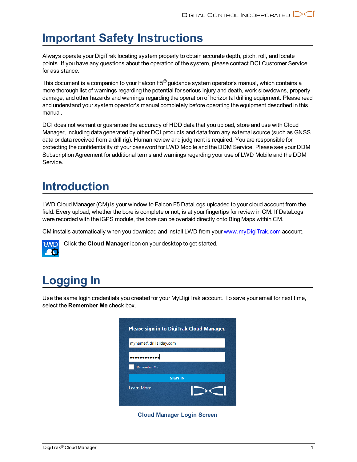### <span id="page-2-0"></span>**Important Safety Instructions**

Always operate your DigiTrak locating system properly to obtain accurate depth, pitch, roll, and locate points. If you have any questions about the operation of the system, please contact DCI Customer Service for assistance.

This document is a companion to your Falcon F5® guidance system operator's manual, which contains a more thorough list of warnings regarding the potential for serious injury and death, work slowdowns, property damage, and other hazards and warnings regarding the operation of horizontal drilling equipment. Please read and understand your system operator's manual completely before operating the equipment described in this manual.

DCI does not warrant or guarantee the accuracy of HDD data that you upload, store and use with Cloud Manager, including data generated by other DCI products and data from any external source (such as GNSS data or data received from a drill rig). Human review and judgment is required. You are responsible for protecting the confidentiality of your password for LWD Mobile and the DDM Service. Please see your DDM Subscription Agreement for additional terms and warnings regarding your use of LWD Mobile and the DDM Service.

### <span id="page-2-1"></span>**Introduction**

LWD Cloud Manager (CM) is your window to Falcon F5 DataLogs uploaded to your cloud account from the field. Every upload, whether the bore is complete or not, is at your fingertips for review in CM. If DataLogs were recorded with the iGPS module, the bore can be overlaid directly onto Bing Maps within CM.

CM installs automatically when you download and install LWD from your [www.myDigiTrak.com](http://www.mydigitrak.com/) account.



Click the **Cloud Manager** icon on your desktop to get started.

## <span id="page-2-2"></span>**Logging In**

Use the same login credentials you created for your MyDigiTrak account. To save your email for next time, select the **Remember Me** check box.

| myname@drillallday.com |                |
|------------------------|----------------|
|                        |                |
|                        |                |
| <b>Remember Me</b>     |                |
|                        | <b>SIGN IN</b> |
| <b>Learn More</b>      |                |

**Cloud Manager Login Screen**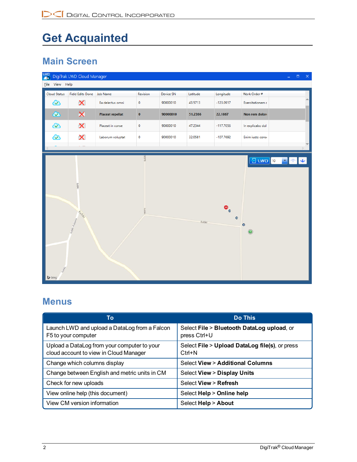## <span id="page-3-0"></span>**Get Acquainted**

#### <span id="page-3-1"></span>**Main Screen**

|                                | LWD DigiTrak LWD Cloud Manager |                         |               |           |          |                        |                                                             | $\Box$ $\Box$ $\times$ |  |
|--------------------------------|--------------------------------|-------------------------|---------------|-----------|----------|------------------------|-------------------------------------------------------------|------------------------|--|
| Eile View Help                 |                                |                         |               |           |          |                        |                                                             |                        |  |
| <b>Cloud Status</b>            | <b>Field Edits Done</b>        | <b>Job Name</b>         | Revision      | Device SN | Latitude | Longitude              | Work Order #                                                |                        |  |
| $\infty$                       | X                              | Ea delectus omni        | 0             | 90000010  | 43.5713  | $-123.0917$            | Exercitationem c                                            |                        |  |
| $\bm{\infty}$                  | ×                              | <b>Placeat repellat</b> | $\mathbf 0$   | 90000010  | 51.2366  | 22.1867                | Non rem doloro                                              |                        |  |
| $\infty$                       | X                              | Placeat in conse        | $\mathbf 0$   | 90000010  | 47.2344  | $-117.7056$            | In explicabo dol                                            |                        |  |
| $\infty$                       | X                              | Laborum voluptat        | $\mathbf 0$   | 90000010  | 32.0581  | $-107.7692$            | Enim iusto consi                                            |                        |  |
|                                |                                |                         |               |           |          |                        |                                                             |                        |  |
| tubki<br>$\triangleright$ bing | cubici<br>Eubic-Kolonia        |                         | Łubk<br>Łubki |           | Łubki    | $\bullet$<br>$\bullet$ | $\boxed{3}$ twp $\boxed{10}$<br>$\bullet$<br>$\circledcirc$ | ▼ ↑ ↓                  |  |

#### <span id="page-3-2"></span>**Menus**

| To                                                                                    | <b>Do This</b>                                               |
|---------------------------------------------------------------------------------------|--------------------------------------------------------------|
| Launch LWD and upload a DataLog from a Falcon<br>F5 to your computer                  | Select File > Bluetooth DataLog upload, or<br>press Ctrl+U   |
| Upload a DataLog from your computer to your<br>cloud account to view in Cloud Manager | Select File > Upload DataLog file(s), or press<br>$Ctrl + N$ |
| Change which columns display                                                          | <b>Select View &gt; Additional Columns</b>                   |
| Change between English and metric units in CM                                         | <b>Select View &gt; Display Units</b>                        |
| Check for new uploads                                                                 | Select View > Refresh                                        |
| View online help (this document)                                                      | Select Help > Online help                                    |
| View CM version information                                                           | Select Help > About                                          |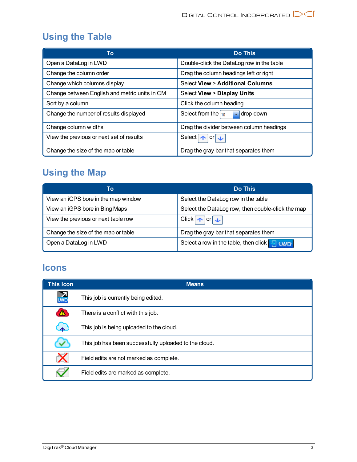#### <span id="page-4-0"></span>**Using the Table**

| To                                            | <b>Do This</b>                            |
|-----------------------------------------------|-------------------------------------------|
| Open a DataLog in LWD                         | Double-click the DataLog row in the table |
| Change the column order                       | Drag the column headings left or right    |
| Change which columns display                  | Select View > Additional Columns          |
| Change between English and metric units in CM | <b>Select View &gt; Display Units</b>     |
| Sort by a column                              | Click the column heading                  |
| Change the number of results displayed        | Select from the $\vert_{10}$<br>drop-down |
| Change column widths                          | Drag the divider between column headings  |
| View the previous or next set of results      | Select $\bullet$ or $\bullet$             |
| Change the size of the map or table           | Drag the gray bar that separates them     |

#### <span id="page-4-1"></span>**Using the Map**

| To                                  | <b>Do This</b>                                    |
|-------------------------------------|---------------------------------------------------|
| View an iGPS bore in the map window | Select the DataLog row in the table               |
| View an iGPS bore in Bing Maps      | Select the DataLog row, then double-click the map |
| View the previous or next table row | Click $\rightarrow$ or $\rightarrow$              |
| Change the size of the map or table | Drag the gray bar that separates them             |
| Open a DataLog in LWD               | Select a row in the table, then click $\Box$ two  |

#### <span id="page-4-2"></span>**Icons**

| <b>This Icon</b> | <b>Means</b>                                          |  |  |  |  |
|------------------|-------------------------------------------------------|--|--|--|--|
| $\mathbf{L}$     | This job is currently being edited.                   |  |  |  |  |
| Ж                | There is a conflict with this job.                    |  |  |  |  |
|                  | This job is being uploaded to the cloud.              |  |  |  |  |
|                  | This job has been successfully uploaded to the cloud. |  |  |  |  |
| X                | Field edits are not marked as complete.               |  |  |  |  |
|                  | Field edits are marked as complete.                   |  |  |  |  |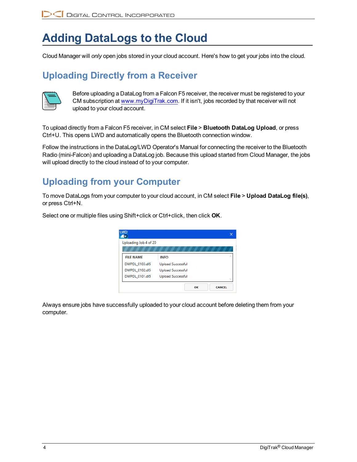### <span id="page-5-0"></span>**Adding DataLogs to the Cloud**

<span id="page-5-1"></span>Cloud Manager will *only* open jobs stored in your cloud account. Here's how to get your jobs into the cloud.

#### **Uploading Directly from a Receiver**



Before uploading a DataLog from a Falcon F5 receiver, the receiver must be registered to your CM subscription at [www.myDigiTrak.com](http://www.mydigitrak.com/). If it isn't, jobs recorded by that receiver will not upload to your cloud account.

To upload directly from a Falcon F5 receiver, in CM select **File** > **Bluetooth DataLog Upload**, or press Ctrl+U. This opens LWD and automatically opens the Bluetooth connection window.

Follow the instructions in the DataLog/LWD Operator's Manual for connecting the receiver to the Bluetooth Radio (mini-Falcon) and uploading a DataLog job. Because this upload started from Cloud Manager, the jobs will upload directly to the cloud instead of to your computer.

#### <span id="page-5-2"></span>**Uploading from your Computer**

To move DataLogs from your computer to your cloud account, in CM select **File** > **Upload DataLog file(s)**, or press Ctrl+N.

Select one or multiple files using Shift+click or Ctrl+click, then click **OK**.



Always ensure jobs have successfully uploaded to your cloud account before deleting them from your computer.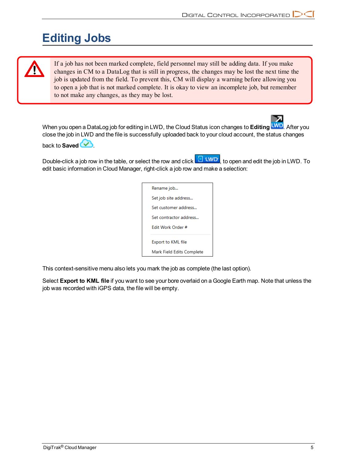### <span id="page-6-0"></span>**Editing Jobs**

If a job has not been marked complete, field personnel may still be adding data. If you make changes in CM to a DataLog that is still in progress, the changes may be lost the next time the job is updated from the field. To prevent this, CM will display a warning before allowing you to open a job that is not marked complete. It is okay to view an incomplete job, but remember to not make any changes, as they may be lost.

When you open a DataLog job for editing in LWD, the Cloud Status icon changes to **Editing LWD**. After you close the job in LWD and the file is successfully uploaded back to your cloud account, the status changes

back to **Saved** 

Double-click a job row in the table, or select the row and click  $\Box$  UND, to open and edit the job in LWD. To edit basic information in Cloud Manager, right-click a job row and make a selection:

| Rename job                |
|---------------------------|
| Set job site address      |
| Set customer address      |
| Set contractor address    |
| <b>Fdit Work Order #</b>  |
| Export to KML file        |
|                           |
| Mark Field Edits Complete |

This context-sensitive menu also lets you mark the job as complete (the last option).

Select **Export to KML file** if you want to see your bore overlaid on a Google Earth map. Note that unless the job was recorded with iGPS data, the file will be empty.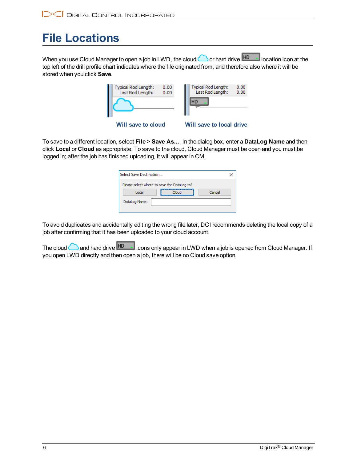## <span id="page-7-0"></span>**File Locations**

When you use Cloud Manager to open a job in LWD, the cloud  $\bigcirc$  or hard drive  $\overline{HD}$  location icon at the top left of the drill profile chart indicates where the file originated from, and therefore also where it will be stored when you click **Save**.

|                    | Typical Rod Length:<br>Last Rod Length: | 0.00<br>0.00 | Typical Rod Length:<br>Last Rod Length: | 0.00<br>0.00 |
|--------------------|-----------------------------------------|--------------|-----------------------------------------|--------------|
|                    |                                         |              | HD                                      |              |
| Will save to cloud |                                         |              | <b>Will save to local drive</b>         |              |

To save to a different location, select **File** > **Save As...**. In the dialog box, enter a **DataLog Name** and then click **Local** or **Cloud** as appropriate. To save to the cloud, Cloud Manager must be open and you must be logged in; after the job has finished uploading, it will appear in CM.

| Select Save Destination                     |       |        |  |  |  |
|---------------------------------------------|-------|--------|--|--|--|
| Please select where to save the DataLog to? |       |        |  |  |  |
| Local                                       | Cloud | Cancel |  |  |  |
| DataLog Name:                               |       |        |  |  |  |
|                                             |       |        |  |  |  |

To avoid duplicates and accidentally editing the wrong file later, DCI recommends deleting the local copy of a job after confirming that it has been uploaded to your cloud account.

The cloud **and hard drive HD** icons only appear in LWD when a job is opened from Cloud Manager. If you open LWD directly and then open a job, there will be no Cloud save option.